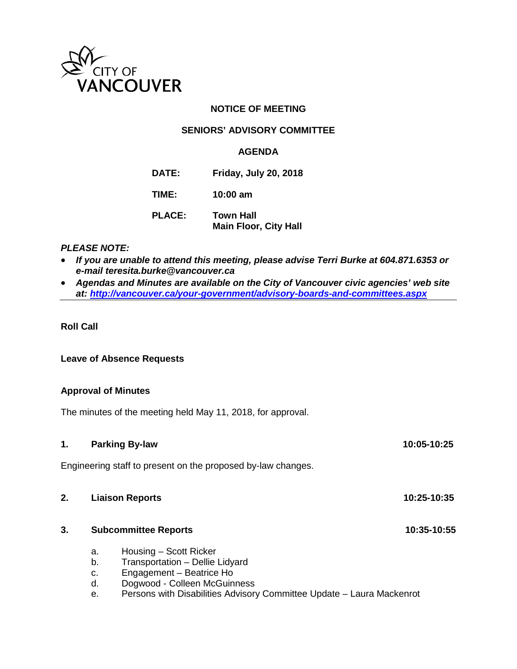

# **NOTICE OF MEETING**

# **SENIORS' ADVISORY COMMITTEE**

#### **AGENDA**

**DATE: Friday, July 20, 2018**

**TIME: 10:00 am**

**PLACE: Town Hall Main Floor, City Hall**

# *PLEASE NOTE:*

- *If you are unable to attend this meeting, please advise Terri Burke at 604.871.6353 or e-mail teresita.burke@vancouver.ca*
- *Agendas and Minutes are available on the City of Vancouver civic agencies' web site at:<http://vancouver.ca/your-government/advisory-boards-and-committees.aspx>*

## **Roll Call**

#### **Leave of Absence Requests**

#### **Approval of Minutes**

The minutes of the meeting held May 11, 2018, for approval.

| 1. |                                       | <b>Parking By-law</b>                                                                                                                                                                          | 10:05-10:25 |
|----|---------------------------------------|------------------------------------------------------------------------------------------------------------------------------------------------------------------------------------------------|-------------|
|    |                                       | Engineering staff to present on the proposed by-law changes.                                                                                                                                   |             |
| 2. | <b>Liaison Reports</b><br>10:25-10:35 |                                                                                                                                                                                                |             |
| 3. | <b>Subcommittee Reports</b>           |                                                                                                                                                                                                | 10:35-10:55 |
|    | a.<br>b.<br>c.<br>d.<br>е.            | Housing – Scott Ricker<br>Transportation - Dellie Lidyard<br>Engagement - Beatrice Ho<br>Dogwood - Colleen McGuinness<br>Persons with Disabilities Advisory Committee Update - Laura Mackenrot |             |